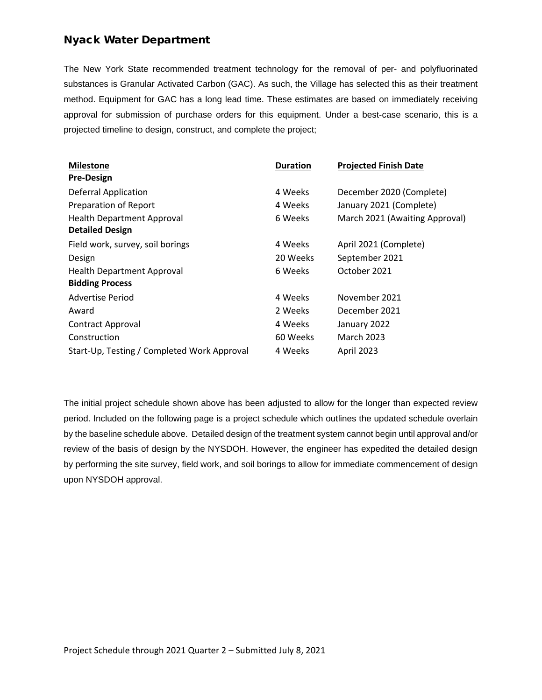## Nyack Water Department

The New York State recommended treatment technology for the removal of per- and polyfluorinated substances is Granular Activated Carbon (GAC). As such, the Village has selected this as their treatment method. Equipment for GAC has a long lead time. These estimates are based on immediately receiving approval for submission of purchase orders for this equipment. Under a best-case scenario, this is a projected timeline to design, construct, and complete the project;

| <b>Milestone</b>                            | <b>Duration</b> | <b>Projected Finish Date</b>   |
|---------------------------------------------|-----------------|--------------------------------|
| <b>Pre-Design</b>                           |                 |                                |
| <b>Deferral Application</b>                 | 4 Weeks         | December 2020 (Complete)       |
| Preparation of Report                       | 4 Weeks         | January 2021 (Complete)        |
| <b>Health Department Approval</b>           | 6 Weeks         | March 2021 (Awaiting Approval) |
| <b>Detailed Design</b>                      |                 |                                |
| Field work, survey, soil borings            | 4 Weeks         | April 2021 (Complete)          |
| Design                                      | 20 Weeks        | September 2021                 |
| <b>Health Department Approval</b>           | 6 Weeks         | October 2021                   |
| <b>Bidding Process</b>                      |                 |                                |
| Advertise Period                            | 4 Weeks         | November 2021                  |
| Award                                       | 2 Weeks         | December 2021                  |
| <b>Contract Approval</b>                    | 4 Weeks         | January 2022                   |
| Construction                                | 60 Weeks        | <b>March 2023</b>              |
| Start-Up, Testing / Completed Work Approval | 4 Weeks         | April 2023                     |

The initial project schedule shown above has been adjusted to allow for the longer than expected review period. Included on the following page is a project schedule which outlines the updated schedule overlain by the baseline schedule above. Detailed design of the treatment system cannot begin until approval and/or review of the basis of design by the NYSDOH. However, the engineer has expedited the detailed design by performing the site survey, field work, and soil borings to allow for immediate commencement of design upon NYSDOH approval.